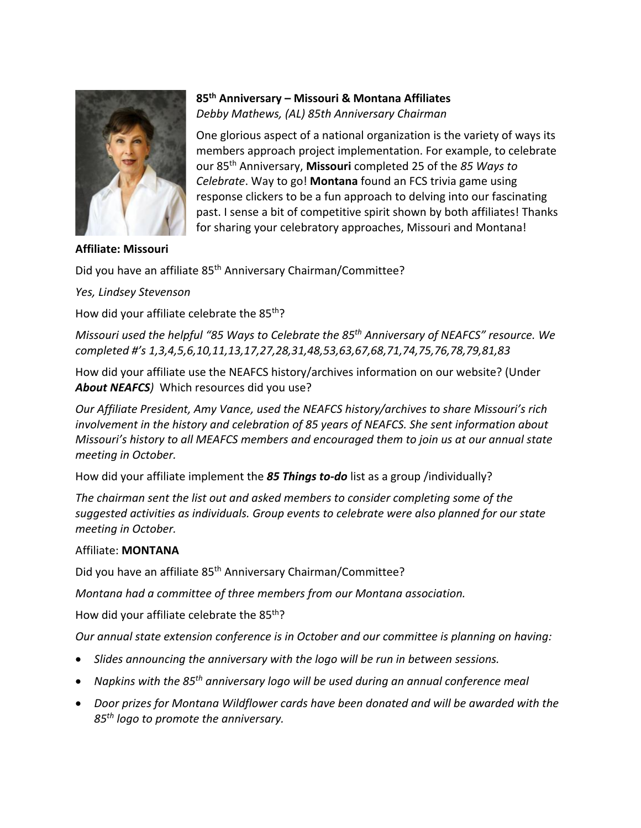

**Affiliate: Missouri**

## **85th Anniversary – Missouri & Montana Affiliates**  *Debby Mathews, (AL) 85th Anniversary Chairman*

One glorious aspect of a national organization is the variety of ways its members approach project implementation. For example, to celebrate our 85th Anniversary, **Missouri** completed 25 of the *85 Ways to Celebrate*. Way to go! **Montana** found an FCS trivia game using response clickers to be a fun approach to delving into our fascinating past. I sense a bit of competitive spirit shown by both affiliates! Thanks for sharing your celebratory approaches, Missouri and Montana!

Did you have an affiliate 85<sup>th</sup> Anniversary Chairman/Committee?

*Yes, Lindsey Stevenson*

How did your affiliate celebrate the 85<sup>th</sup>?

*Missouri used the helpful "85 Ways to Celebrate the 85th Anniversary of NEAFCS" resource. We completed #'s 1,3,4,5,6,10,11,13,17,27,28,31,48,53,63,67,68,71,74,75,76,78,79,81,83*

How did your affiliate use the NEAFCS history/archives information on our website? (Under *About NEAFCS)* Which resources did you use?

*Our Affiliate President, Amy Vance, used the NEAFCS history/archives to share Missouri's rich involvement in the history and celebration of 85 years of NEAFCS. She sent information about Missouri's history to all MEAFCS members and encouraged them to join us at our annual state meeting in October.*

How did your affiliate implement the *85 Things to-do* list as a group /individually?

*The chairman sent the list out and asked members to consider completing some of the suggested activities as individuals. Group events to celebrate were also planned for our state meeting in October.*

## Affiliate: **MONTANA**

Did you have an affiliate 85th Anniversary Chairman/Committee?

*Montana had a committee of three members from our Montana association.* 

How did your affiliate celebrate the 85<sup>th</sup>?

*Our annual state extension conference is in October and our committee is planning on having:* 

- *Slides announcing the anniversary with the logo will be run in between sessions.*
- *Napkins with the 85th anniversary logo will be used during an annual conference meal*
- *Door prizes for Montana Wildflower cards have been donated and will be awarded with the 85th logo to promote the anniversary.*